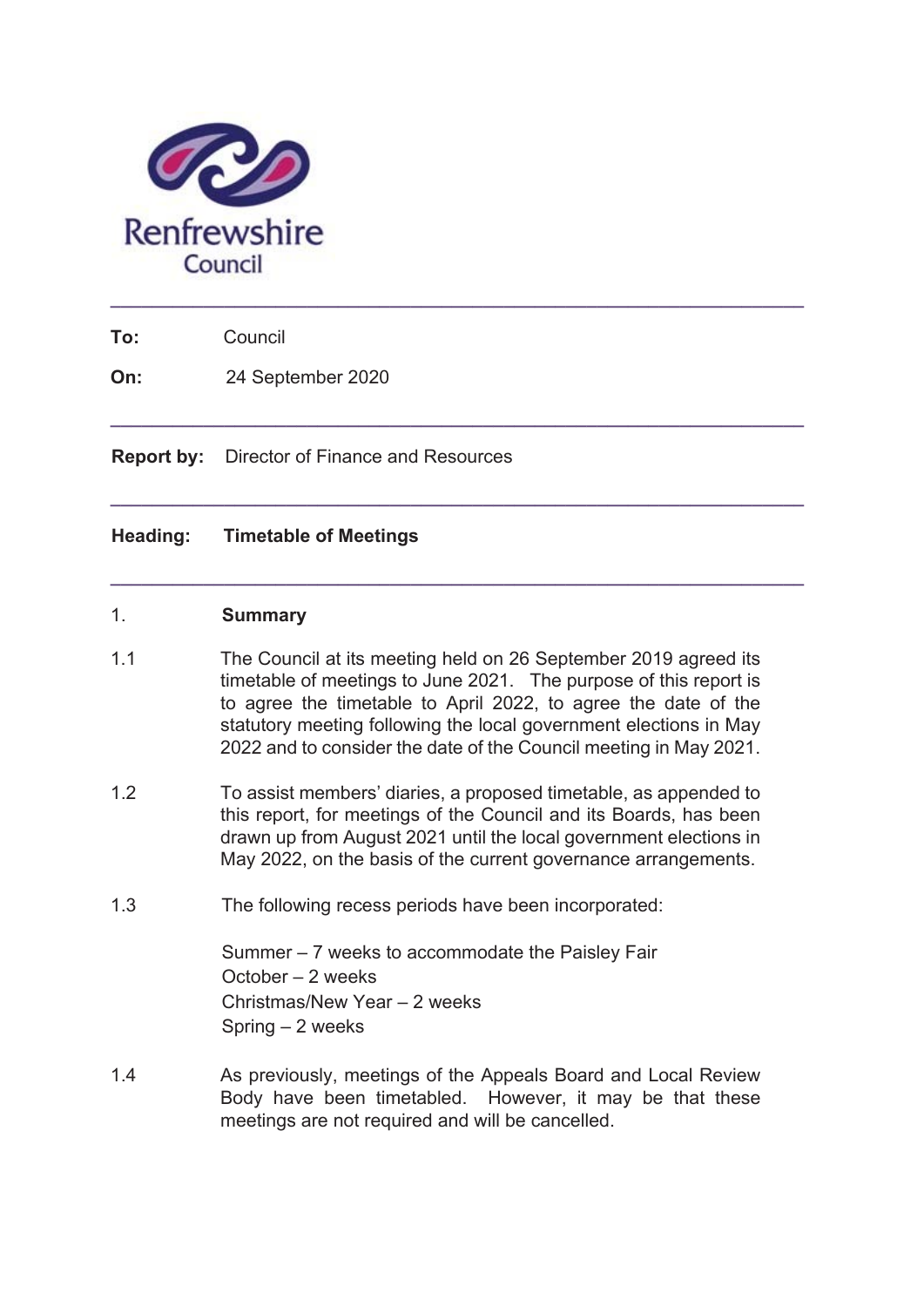

**To:** Council

**On:** 24 September 2020

**Report by:** Director of Finance and Resources

# **Heading: Timetable of Meetings**

#### 1. **Summary**

1.1 The Council at its meeting held on 26 September 2019 agreed its timetable of meetings to June 2021. The purpose of this report is to agree the timetable to April 2022, to agree the date of the statutory meeting following the local government elections in May 2022 and to consider the date of the Council meeting in May 2021.

**\_\_\_\_\_\_\_\_\_\_\_\_\_\_\_\_\_\_\_\_\_\_\_\_\_\_\_\_\_\_\_\_\_\_\_\_\_\_\_\_\_\_\_\_\_\_\_\_\_\_\_\_\_\_\_\_\_\_\_\_\_\_\_\_\_\_\_** 

**\_\_\_\_\_\_\_\_\_\_\_\_\_\_\_\_\_\_\_\_\_\_\_\_\_\_\_\_\_\_\_\_\_\_\_\_\_\_\_\_\_\_\_\_\_\_\_\_\_\_\_\_\_\_\_\_\_\_\_\_\_\_\_\_\_\_\_** 

**\_\_\_\_\_\_\_\_\_\_\_\_\_\_\_\_\_\_\_\_\_\_\_\_\_\_\_\_\_\_\_\_\_\_\_\_\_\_\_\_\_\_\_\_\_\_\_\_\_\_\_\_\_\_\_\_\_\_\_\_\_\_\_\_\_\_\_** 

- 1.2 To assist members' diaries, a proposed timetable, as appended to this report, for meetings of the Council and its Boards, has been drawn up from August 2021 until the local government elections in May 2022, on the basis of the current governance arrangements.
- 1.3 The following recess periods have been incorporated:

Summer – 7 weeks to accommodate the Paisley Fair October – 2 weeks Christmas/New Year – 2 weeks Spring – 2 weeks

1.4 As previously, meetings of the Appeals Board and Local Review Body have been timetabled. However, it may be that these meetings are not required and will be cancelled.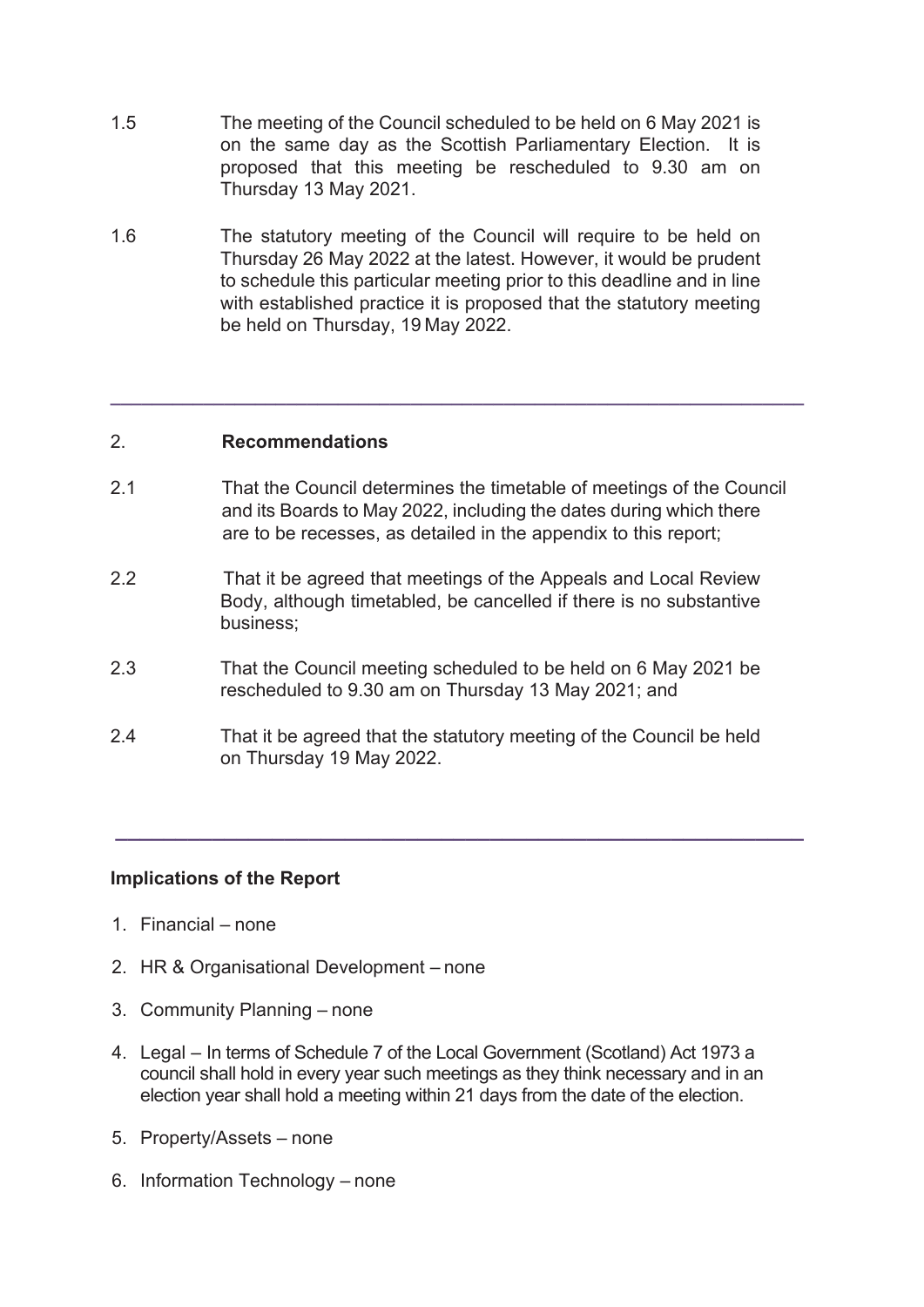- 1.5 The meeting of the Council scheduled to be held on 6 May 2021 is on the same day as the Scottish Parliamentary Election. It is proposed that this meeting be rescheduled to 9.30 am on Thursday 13 May 2021.
- 1.6 The statutory meeting of the Council will require to be held on Thursday 26 May 2022 at the latest. However, it would be prudent to schedule this particular meeting prior to this deadline and in line with established practice it is proposed that the statutory meeting be held on Thursday, 19 May 2022.

### 2. **Recommendations**

2.1 That the Council determines the timetable of meetings of the Council and its Boards to May 2022, including the dates during which there are to be recesses, as detailed in the appendix to this report;

**\_\_\_\_\_\_\_\_\_\_\_\_\_\_\_\_\_\_\_\_\_\_\_\_\_\_\_\_\_\_\_\_\_\_\_\_\_\_\_\_\_\_\_\_\_\_\_\_\_\_\_\_\_\_\_\_\_\_\_\_\_\_\_\_\_\_\_** 

- 2.2 That it be agreed that meetings of the Appeals and Local Review Body, although timetabled, be cancelled if there is no substantive business;
- 2.3 That the Council meeting scheduled to be held on 6 May 2021 be rescheduled to 9.30 am on Thursday 13 May 2021; and
- 2.4 That it be agreed that the statutory meeting of the Council be held on Thursday 19 May 2022.

**\_\_\_\_\_\_\_\_\_\_\_\_\_\_\_\_\_\_\_\_\_\_\_\_\_\_\_\_\_\_\_\_\_\_\_\_\_\_\_\_\_\_\_\_\_\_\_\_\_\_\_\_\_\_\_\_\_** 

## **Implications of the Report**

- 1. Financial none
- 2. HR & Organisational Development none
- 3. Community Planning none
- 4. Legal In terms of Schedule 7 of the Local Government (Scotland) Act 1973 a council shall hold in every year such meetings as they think necessary and in an election year shall hold a meeting within 21 days from the date of the election.
- 5. Property/Assets none
- 6. Information Technology none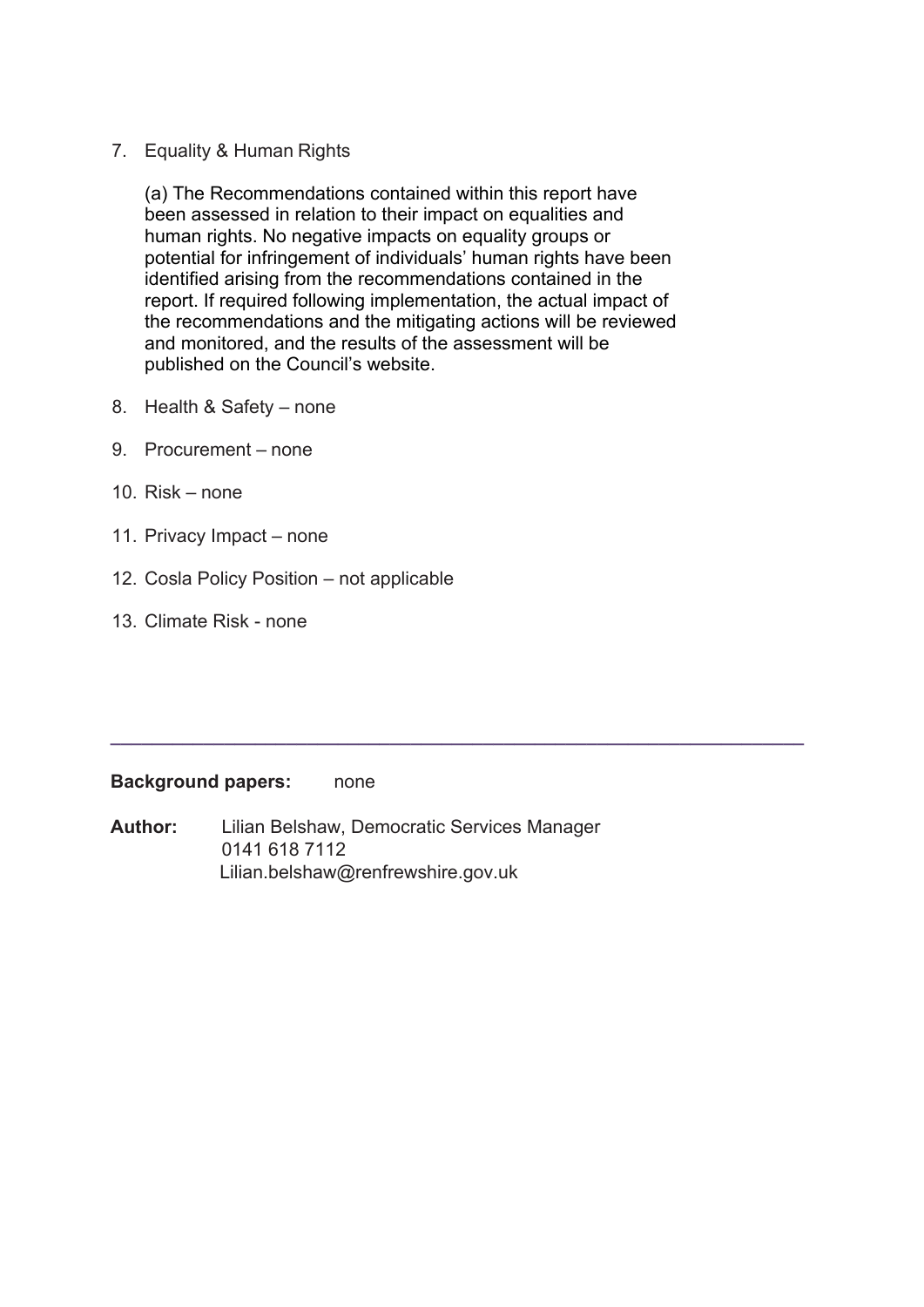7. Equality & Human Rights

(a) The Recommendations contained within this report have been assessed in relation to their impact on equalities and human rights. No negative impacts on equality groups or potential for infringement of individuals' human rights have been identified arising from the recommendations contained in the report. If required following implementation, the actual impact of the recommendations and the mitigating actions will be reviewed and monitored, and the results of the assessment will be published on the Council's website.

- 8. Health & Safety none
- 9. Procurement none
- 10. Risk none
- 11. Privacy Impact none
- 12. Cosla Policy Position not applicable
- 13. Climate Risk none

### **Background papers:** none

**Author:** Lilian Belshaw, Democratic Services Manager 0141 618 7112 Lilian.belshaw@renfrewshire.gov.uk

**\_\_\_\_\_\_\_\_\_\_\_\_\_\_\_\_\_\_\_\_\_\_\_\_\_\_\_\_\_\_\_\_\_\_\_\_\_\_\_\_\_\_\_\_\_\_\_\_\_\_\_\_\_\_\_\_\_\_\_\_\_\_\_\_\_\_\_**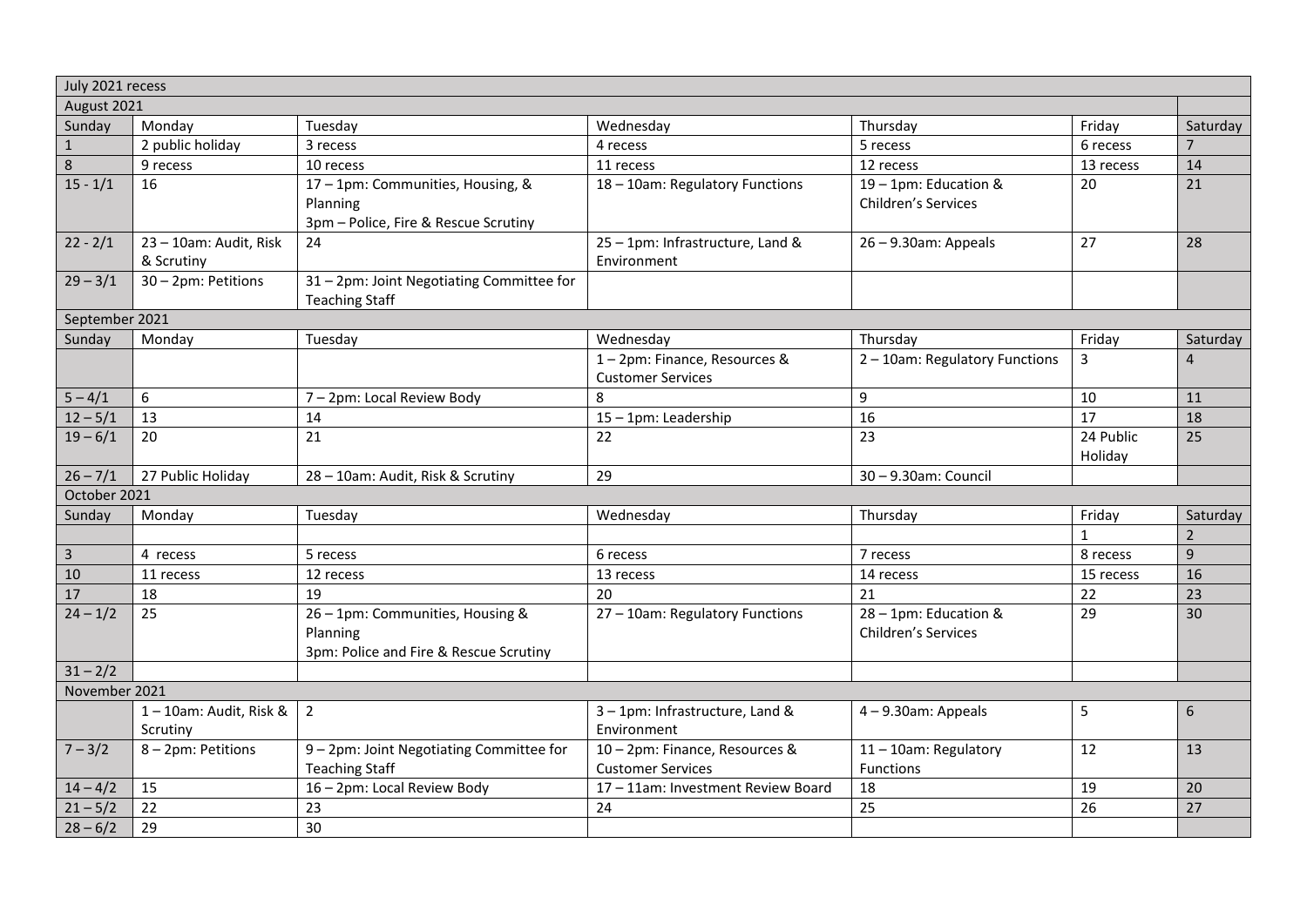| July 2021 recess |                                      |                                                                                        |                                                            |                                                     |                      |                |  |
|------------------|--------------------------------------|----------------------------------------------------------------------------------------|------------------------------------------------------------|-----------------------------------------------------|----------------------|----------------|--|
| August 2021      |                                      |                                                                                        |                                                            |                                                     |                      |                |  |
| Sunday           | Monday                               | Tuesday                                                                                | Wednesday                                                  | Thursday                                            | Friday               | Saturday       |  |
| $\mathbf{1}$     | 2 public holiday                     | 3 recess                                                                               | 4 recess                                                   | 5 recess                                            | 6 recess             | $\overline{7}$ |  |
| 8                | 9 recess                             | 10 recess                                                                              | 11 recess                                                  | 12 recess                                           | 13 recess            | 14             |  |
| $15 - 1/1$       | 16                                   | 17 - 1pm: Communities, Housing, &<br>Planning<br>3pm - Police, Fire & Rescue Scrutiny  | 18 - 10am: Regulatory Functions                            | 19 - 1pm: Education &<br>Children's Services        | 20                   | 21             |  |
| $22 - 2/1$       | 23 - 10am: Audit, Risk<br>& Scrutiny | 24                                                                                     | 25 - 1pm: Infrastructure, Land &<br>Environment            | $26 - 9.30$ am: Appeals                             | 27                   | 28             |  |
| $29 - 3/1$       | 30 - 2pm: Petitions                  | 31 - 2pm: Joint Negotiating Committee for<br><b>Teaching Staff</b>                     |                                                            |                                                     |                      |                |  |
| September 2021   |                                      |                                                                                        |                                                            |                                                     |                      |                |  |
| Sunday           | Monday                               | Tuesday                                                                                | Wednesday                                                  | Thursday                                            | Friday               | Saturday       |  |
|                  |                                      |                                                                                        | 1-2pm: Finance, Resources &<br><b>Customer Services</b>    | 2 - 10am: Regulatory Functions                      | 3                    | 4              |  |
| $5 - 4/1$        | 6                                    | 7 - 2pm: Local Review Body                                                             | 8                                                          | 9                                                   | 10                   | 11             |  |
| $12 - 5/1$       | 13                                   | 14                                                                                     | 15 - 1pm: Leadership                                       | 16                                                  | 17                   | 18             |  |
| $19 - 6/1$       | 20                                   | 21                                                                                     | 22                                                         | 23                                                  | 24 Public<br>Holiday | 25             |  |
| $26 - 7/1$       | 27 Public Holiday                    | 28 - 10am: Audit, Risk & Scrutiny                                                      | 29                                                         | 30-9.30am: Council                                  |                      |                |  |
| October 2021     |                                      |                                                                                        |                                                            |                                                     |                      |                |  |
| Sunday           | Monday                               | Tuesday                                                                                | Wednesday                                                  | Thursday                                            | Friday               | Saturday       |  |
|                  |                                      |                                                                                        |                                                            |                                                     | $\mathbf{1}$         | $\overline{2}$ |  |
| $\overline{3}$   | 4 recess                             | 5 recess                                                                               | 6 recess                                                   | 7 recess                                            | 8 recess             | 9              |  |
| 10               | 11 recess                            | 12 recess                                                                              | 13 recess                                                  | 14 recess                                           | 15 recess            | 16             |  |
| 17               | 18                                   | 19                                                                                     | 20                                                         | 21                                                  | 22                   | 23             |  |
| $24 - 1/2$       | 25                                   | 26 - 1pm: Communities, Housing &<br>Planning<br>3pm: Police and Fire & Rescue Scrutiny | 27 - 10am: Regulatory Functions                            | 28 - 1pm: Education &<br><b>Children's Services</b> | 29                   | 30             |  |
| $31 - 2/2$       |                                      |                                                                                        |                                                            |                                                     |                      |                |  |
| November 2021    |                                      |                                                                                        |                                                            |                                                     |                      |                |  |
|                  | 1-10am: Audit, Risk &<br>Scrutiny    | $\overline{2}$                                                                         | 3-1pm: Infrastructure, Land &<br>Environment               | $4 - 9.30$ am: Appeals                              | 5                    | 6              |  |
| $7 - 3/2$        | 8-2pm: Petitions                     | 9 - 2pm: Joint Negotiating Committee for<br><b>Teaching Staff</b>                      | 10 - 2pm: Finance, Resources &<br><b>Customer Services</b> | 11-10am: Regulatory<br>Functions                    | 12                   | 13             |  |
| $14 - 4/2$       | 15                                   | 16 - 2pm: Local Review Body                                                            | 17 - 11am: Investment Review Board                         | 18                                                  | 19                   | 20             |  |
| $21 - 5/2$       | 22                                   | 23                                                                                     | 24                                                         | 25                                                  | 26                   | 27             |  |
| $28 - 6/2$       | 29                                   | 30                                                                                     |                                                            |                                                     |                      |                |  |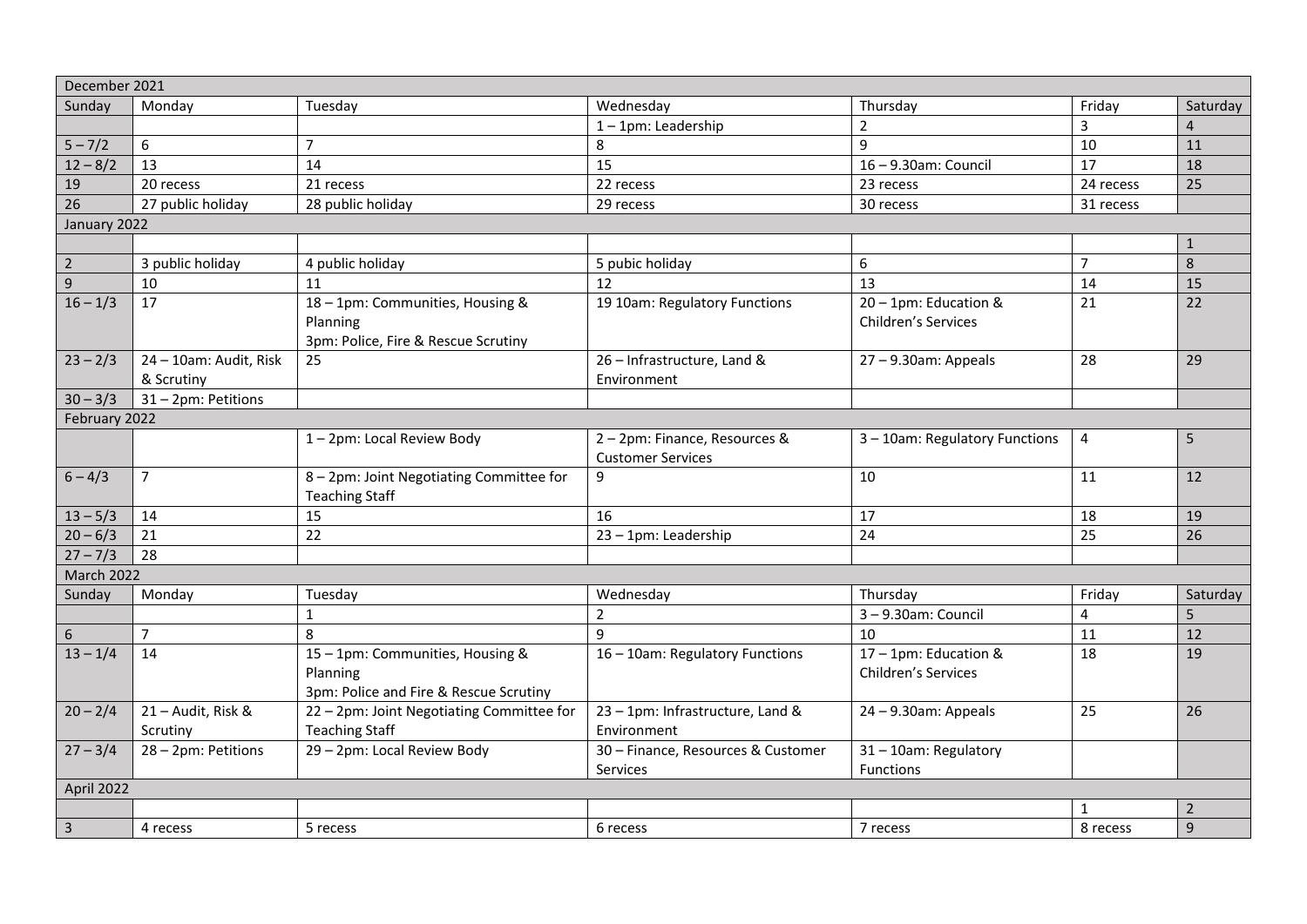| December 2021  |                                      |                                                                                        |                                                         |                                              |                |                |  |
|----------------|--------------------------------------|----------------------------------------------------------------------------------------|---------------------------------------------------------|----------------------------------------------|----------------|----------------|--|
| Sunday         | Monday                               | Tuesday                                                                                | Wednesday                                               | Thursday                                     | Friday         | Saturday       |  |
|                |                                      |                                                                                        | 1-1pm: Leadership                                       | $\overline{2}$                               | $\overline{3}$ | 4              |  |
| $5 - 7/2$      | $\boldsymbol{6}$                     | $\overline{7}$                                                                         | 8                                                       | $\mathsf{q}$                                 | 10             | 11             |  |
| $12 - 8/2$     | 13                                   | 14                                                                                     | 15                                                      | 16-9.30am: Council                           | 17             | 18             |  |
| 19             | 20 recess                            | 21 recess                                                                              | 22 recess                                               | 23 recess                                    | 24 recess      | 25             |  |
| 26             | 27 public holiday                    | 28 public holiday                                                                      | 29 recess                                               | 30 recess                                    | 31 recess      |                |  |
| January 2022   |                                      |                                                                                        |                                                         |                                              |                |                |  |
|                |                                      |                                                                                        |                                                         |                                              |                | $\mathbf{1}$   |  |
| $\overline{2}$ | 3 public holiday                     | 4 public holiday                                                                       | 5 pubic holiday                                         | 6                                            | $\overline{7}$ | 8              |  |
| 9              | 10                                   | 11                                                                                     | 12                                                      | 13                                           | 14             | 15             |  |
| $16 - 1/3$     | 17                                   | 18-1pm: Communities, Housing &<br>Planning<br>3pm: Police, Fire & Rescue Scrutiny      | 19 10am: Regulatory Functions                           | 20 - 1pm: Education &<br>Children's Services | 21             | 22             |  |
| $23 - 2/3$     | 24 - 10am: Audit, Risk<br>& Scrutiny | 25                                                                                     | 26 - Infrastructure, Land &<br>Environment              | $27 - 9.30$ am: Appeals                      | 28             | 29             |  |
| $30 - 3/3$     | 31 - 2pm: Petitions                  |                                                                                        |                                                         |                                              |                |                |  |
| February 2022  |                                      |                                                                                        |                                                         |                                              |                |                |  |
|                |                                      | 1-2pm: Local Review Body                                                               | 2-2pm: Finance, Resources &<br><b>Customer Services</b> | 3 - 10am: Regulatory Functions               | 4              | 5              |  |
| $6 - 4/3$      | $\overline{7}$                       | 8 - 2pm: Joint Negotiating Committee for<br><b>Teaching Staff</b>                      | 9                                                       | 10                                           | 11             | 12             |  |
| $13 - 5/3$     | 14                                   | 15                                                                                     | 16                                                      | 17                                           | 18             | 19             |  |
| $20 - 6/3$     | 21                                   | 22                                                                                     | 23 - 1pm: Leadership                                    | 24                                           | 25             | 26             |  |
| $27 - 7/3$     | 28                                   |                                                                                        |                                                         |                                              |                |                |  |
| March 2022     |                                      |                                                                                        |                                                         |                                              |                |                |  |
| Sunday         | Monday                               | Tuesday                                                                                | Wednesday                                               | Thursday                                     | Friday         | Saturday       |  |
|                |                                      | $\mathbf{1}$                                                                           | $\overline{2}$                                          | 3-9.30am: Council                            | $\overline{4}$ | 5              |  |
| 6              | $\overline{7}$                       | 8                                                                                      | 9                                                       | 10                                           | 11             | 12             |  |
| $13 - 1/4$     | 14                                   | 15 - 1pm: Communities, Housing &<br>Planning<br>3pm: Police and Fire & Rescue Scrutiny | 16 - 10am: Regulatory Functions                         | 17 - 1pm: Education &<br>Children's Services | 18             | 19             |  |
| $20 - 2/4$     | 21 - Audit, Risk &                   | 22 - 2pm: Joint Negotiating Committee for                                              | 23 - 1pm: Infrastructure, Land &                        | $24 - 9.30$ am: Appeals                      | 25             | 26             |  |
|                | Scrutiny                             | <b>Teaching Staff</b>                                                                  | Environment                                             |                                              |                |                |  |
| $27 - 3/4$     | 28 - 2pm: Petitions                  | 29 - 2pm: Local Review Body                                                            | 30 - Finance, Resources & Customer                      | 31 - 10am: Regulatory                        |                |                |  |
|                |                                      |                                                                                        | Services                                                | Functions                                    |                |                |  |
| April 2022     |                                      |                                                                                        |                                                         |                                              |                |                |  |
|                |                                      |                                                                                        |                                                         |                                              | 1              | $\overline{2}$ |  |
| $\mathbf{3}$   | 4 recess                             | 5 recess                                                                               | 6 recess                                                | 7 recess                                     | 8 recess       | 9              |  |